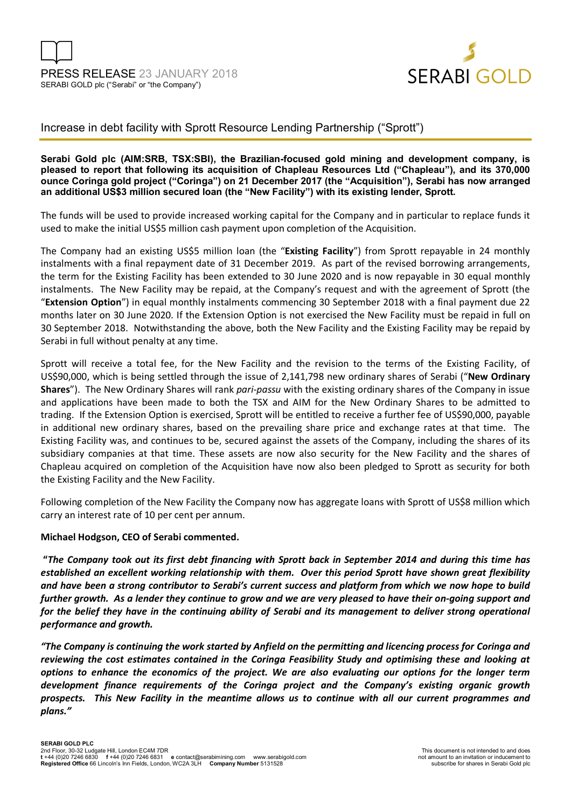

## Increase in debt facility with Sprott Resource Lending Partnership ("Sprott")

### **Serabi Gold plc (AIM:SRB, TSX:SBI), the Brazilian-focused gold mining and development company, is pleased to report that following its acquisition of Chapleau Resources Ltd ("Chapleau"), and its 370,000 ounce Coringa gold project ("Coringa") on 21 December 2017 (the "Acquisition"), Serabi has now arranged an additional US\$3 million secured loan (the "New Facility") with its existing lender, Sprott.**

The funds will be used to provide increased working capital for the Company and in particular to replace funds it used to make the initial US\$5 million cash payment upon completion of the Acquisition.

The Company had an existing US\$5 million loan (the "**Existing Facility**") from Sprott repayable in 24 monthly instalments with a final repayment date of 31 December 2019. As part of the revised borrowing arrangements, the term for the Existing Facility has been extended to 30 June 2020 and is now repayable in 30 equal monthly instalments. The New Facility may be repaid, at the Company's request and with the agreement of Sprott (the "**Extension Option**") in equal monthly instalments commencing 30 September 2018 with a final payment due 22 months later on 30 June 2020. If the Extension Option is not exercised the New Facility must be repaid in full on 30 September 2018. Notwithstanding the above, both the New Facility and the Existing Facility may be repaid by Serabi in full without penalty at any time.

Sprott will receive a total fee, for the New Facility and the revision to the terms of the Existing Facility, of US\$90,000, which is being settled through the issue of 2,141,798 new ordinary shares of Serabi ("**New Ordinary Shares**"). The New Ordinary Shares will rank *pari-passu* with the existing ordinary shares of the Company in issue and applications have been made to both the TSX and AIM for the New Ordinary Shares to be admitted to trading. If the Extension Option is exercised, Sprott will be entitled to receive a further fee of US\$90,000, payable in additional new ordinary shares, based on the prevailing share price and exchange rates at that time. The Existing Facility was, and continues to be, secured against the assets of the Company, including the shares of its subsidiary companies at that time. These assets are now also security for the New Facility and the shares of Chapleau acquired on completion of the Acquisition have now also been pledged to Sprott as security for both the Existing Facility and the New Facility.

Following completion of the New Facility the Company now has aggregate loans with Sprott of US\$8 million which carry an interest rate of 10 per cent per annum.

#### **Michael Hodgson, CEO of Serabi commented.**

 **"***The Company took out its first debt financing with Sprott back in September 2014 and during this time has established an excellent working relationship with them. Over this period Sprott have shown great flexibility and have been a strong contributor to Serabi's current success and platform from which we now hope to build further growth. As a lender they continue to grow and we are very pleased to have their on-going support and*  for the belief they have in the continuing ability of Serabi and its management to deliver strong operational *performance and growth.* 

*"The Company is continuing the work started by Anfield on the permitting and licencing process for Coringa and reviewing the cost estimates contained in the Coringa Feasibility Study and optimising these and looking at options to enhance the economics of the project. We are also evaluating our options for the longer term development finance requirements of the Coringa project and the Company's existing organic growth prospects. This New Facility in the meantime allows us to continue with all our current programmes and plans."*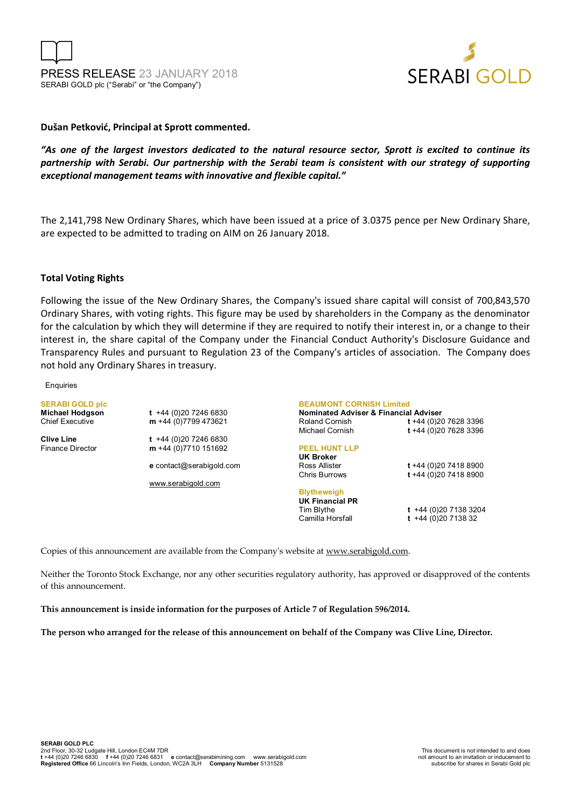



#### **Dušan Petković, Principal at Sprott commented.**

*"As one of the largest investors dedicated to the natural resource sector, Sprott is excited to continue its partnership with Serabi. Our partnership with the Serabi team is consistent with our strategy of supporting exceptional management teams with innovative and flexible capital."* 

The 2,141,798 New Ordinary Shares, which have been issued at a price of 3.0375 pence per New Ordinary Share, are expected to be admitted to trading on AIM on 26 January 2018.

#### **Total Voting Rights**

Following the issue of the New Ordinary Shares, the Company's issued share capital will consist of 700,843,570 Ordinary Shares, with voting rights. This figure may be used by shareholders in the Company as the denominator for the calculation by which they will determine if they are required to notify their interest in, or a change to their interest in, the share capital of the Company under the Financial Conduct Authority's Disclosure Guidance and Transparency Rules and pursuant to Regulation 23 of the Company's articles of association. The Company does not hold any Ordinary Shares in treasury.

#### **Enquiries**

**SERABI GOLD plc** 

**Clive Line** t +44 (0)20 7246 6830<br>Finance Director **m** +44 (0)7710 151692

**Michael Hodgson t** +44 (0)20 7246 6830 Chief Executive **m** +44 (0)7799 473621

m +44 (0)7710 151692

**e** contact@serabigold.com

www.serabigold.com

**BEAUMONT CORNISH Limited** 

**Nominated Adviser & Financial Adviser**  Roland Cornish **t** +44 (0)20 7628 3396 Michael Cornish **t** +44 (0)20 7628 3396

#### **PEEL HUNT LLP**

## **UK Broker**

Chris Burrows **t** +44 (0)20 7418 8900

**Blytheweigh UK Financial PR** 

Tim Blythe **t** +44 (0)20 7138 3204 Camilla Horsfall **t** +44 (0)20 7138 32

Ross Allister **t** +44 (0)20 7418 8900

Copies of this announcement are available from the Company's website at www.serabigold.com.

Neither the Toronto Stock Exchange, nor any other securities regulatory authority, has approved or disapproved of the contents of this announcement.

**This announcement is inside information for the purposes of Article 7 of Regulation 596/2014.** 

**The person who arranged for the release of this announcement on behalf of the Company was Clive Line, Director.**